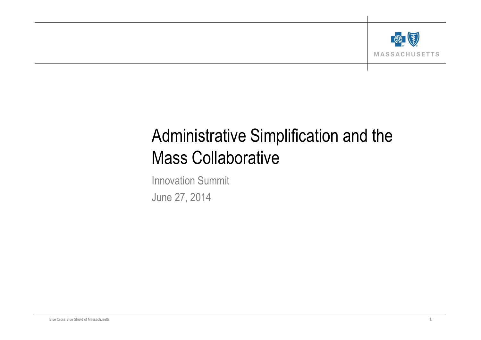

# Administrative Simplification and the Mass Collaborative

Innovation Summit June 27, 2014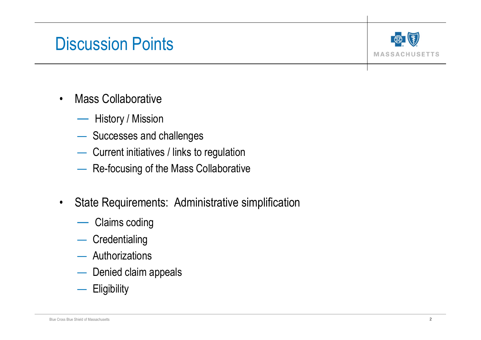#### Discussion Points



- Mass Collaborative
	- History / Mission
	- Successes and challenges
	- Current initiatives / links to regulation
	- Re-focusing of the Mass Collaborative
- State Requirements: Administrative simplification
	- Claims coding
	- Credentialing
	- Authorizations
	- Denied claim appeals
	- Eligibility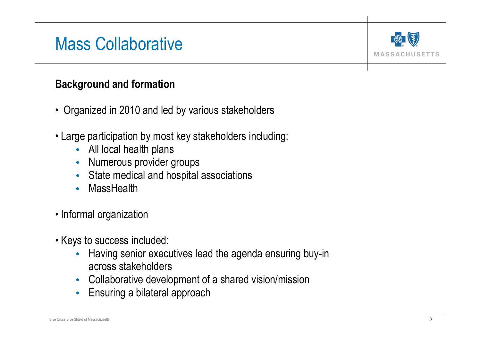## Mass Collaborative



#### **Background and formation**

- Organized in 2010 and led by various stakeholders
- Large participation by most key stakeholders including:
	- All local health plans
	- Numerous provider groups
	- State medical and hospital associations
	- MassHealth
- Informal organization
- Keys to success included:
	- Having senior executives lead the agenda ensuring buy-in across stakeholders
	- Collaborative development of a shared vision/mission
	- Ensuring a bilateral approach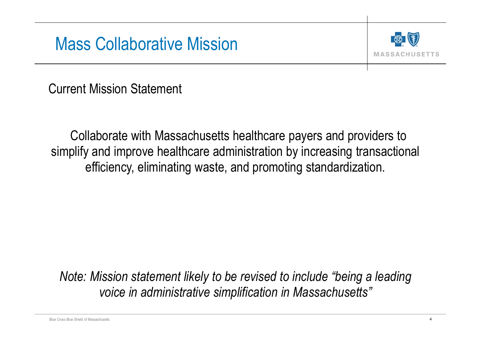### Mass Collaborative Mission



Current Mission Statement

Collaborate with Massachusetts healthcare payers and providers to simplify and improve healthcare administration by increasing transactional efficiency, eliminating waste, and promoting standardization.

*Note: Mission statement likely to be revised to include "being a leading voice in administrative simplification in Massachusetts"*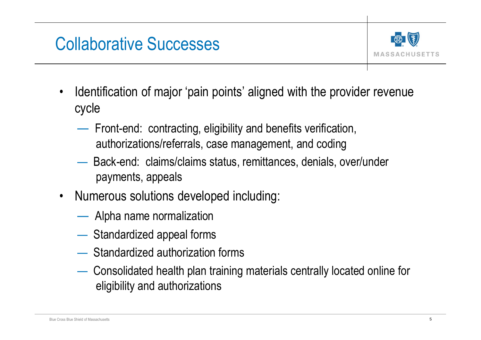# Collaborative Successes



- Identification of major 'pain points' aligned with the provider revenue cycle
	- Front-end: contracting, eligibility and benefits verification, authorizations/referrals, case management, and coding
	- Back-end: claims/claims status, remittances, denials, over/under payments, appeals
- Numerous solutions developed including:
	- Alpha name normalization
	- Standardized appeal forms
	- Standardized authorization forms
	- Consolidated health plan training materials centrally located online for eligibility and authorizations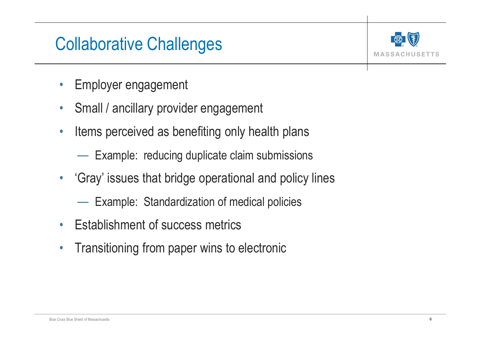# Collaborative Challenges



- Employer engagement
- Small / ancillary provider engagement
- Items perceived as benefiting only health plans

— Example: reducing duplicate claim submissions

- 'Gray' issues that bridge operational and policy lines
	- Example: Standardization of medical policies
- Establishment of success metrics
- Transitioning from paper wins to electronic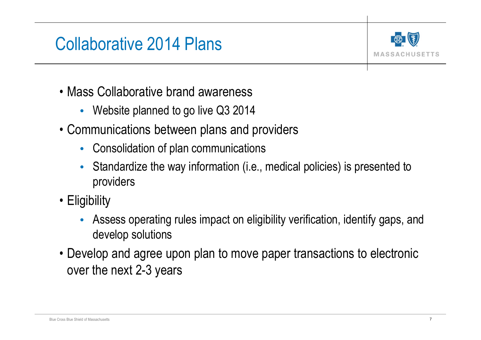### Collaborative 2014 Plans



- Mass Collaborative brand awareness
	- Website planned to go live Q3 2014
- Communications between plans and providers
	- Consolidation of plan communications
	- Standardize the way information (i.e., medical policies) is presented to providers
- Eligibility
	- Assess operating rules impact on eligibility verification, identify gaps, and develop solutions
- Develop and agree upon plan to move paper transactions to electronic over the next 2-3 years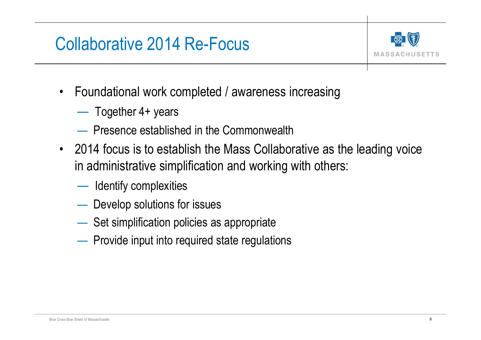# Collaborative 2014 Re-Focus



- Foundational work completed / awareness increasing
	- Together 4+ years
	- Presence established in the Commonwealth
- 2014 focus is to establish the Mass Collaborative as the leading voice in administrative simplification and working with others:
	- Identify complexities
	- Develop solutions for issues
	- Set simplification policies as appropriate
	- Provide input into required state regulations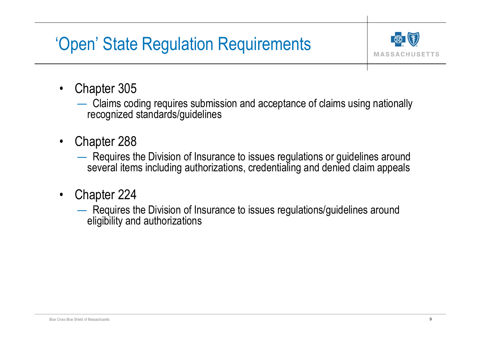# 'Open' State Regulation Requirements



- Chapter 305
	- Claims coding requires submission and acceptance of claims using nationally recognized standards/guidelines
- Chapter 288
	- Requires the Division of Insurance to issues regulations or guidelines around several items including authorizations, credentialing and denied claim appeals
- Chapter 224
	- Requires the Division of Insurance to issues regulations/guidelines around eligibility and authorizations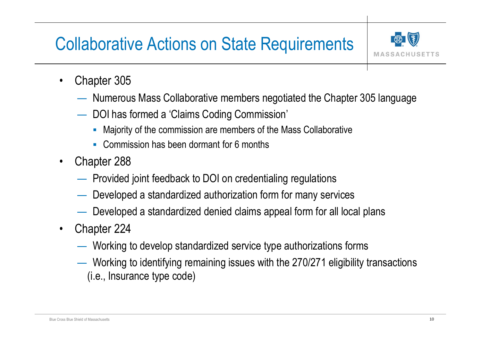# Collaborative Actions on State Requirements



- Chapter 305
	- Numerous Mass Collaborative members negotiated the Chapter 305 language
	- DOI has formed a 'Claims Coding Commission'
		- Majority of the commission are members of the Mass Collaborative
		- Commission has been dormant for 6 months
- Chapter 288
	- Provided joint feedback to DOI on credentialing regulations
	- Developed a standardized authorization form for many services
	- Developed a standardized denied claims appeal form for all local plans
- Chapter 224
	- Working to develop standardized service type authorizations forms
	- Working to identifying remaining issues with the 270/271 eligibility transactions (i.e., Insurance type code)